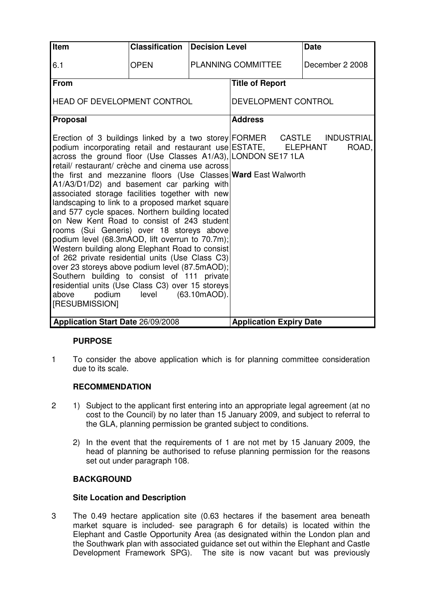| Item                                                                                                                                                                                                                                                                                                                                                                                                                                                                                                                                                                                                                                                                                                                                                                                                                                                                                                                                                                                                           | <b>Classification</b> | Decision Level |                                | <b>Date</b>     |
|----------------------------------------------------------------------------------------------------------------------------------------------------------------------------------------------------------------------------------------------------------------------------------------------------------------------------------------------------------------------------------------------------------------------------------------------------------------------------------------------------------------------------------------------------------------------------------------------------------------------------------------------------------------------------------------------------------------------------------------------------------------------------------------------------------------------------------------------------------------------------------------------------------------------------------------------------------------------------------------------------------------|-----------------------|----------------|--------------------------------|-----------------|
| 6.1                                                                                                                                                                                                                                                                                                                                                                                                                                                                                                                                                                                                                                                                                                                                                                                                                                                                                                                                                                                                            | <b>OPEN</b>           |                | <b>PLANNING COMMITTEE</b>      | December 2 2008 |
| <b>From</b>                                                                                                                                                                                                                                                                                                                                                                                                                                                                                                                                                                                                                                                                                                                                                                                                                                                                                                                                                                                                    |                       |                | <b>Title of Report</b>         |                 |
| <b>HEAD OF DEVELOPMENT CONTROL</b>                                                                                                                                                                                                                                                                                                                                                                                                                                                                                                                                                                                                                                                                                                                                                                                                                                                                                                                                                                             |                       |                | DEVELOPMENT CONTROL            |                 |
| Proposal                                                                                                                                                                                                                                                                                                                                                                                                                                                                                                                                                                                                                                                                                                                                                                                                                                                                                                                                                                                                       |                       |                | <b>Address</b>                 |                 |
| Erection of 3 buildings linked by a two storey FORMER CASTLE INDUSTRIAL<br>podium incorporating retail and restaurant use ESTATE, ELEPHANT<br>across the ground floor (Use Classes A1/A3), LONDON SE17 1LA<br>retail/ restaurant/ crèche and cinema use across<br>the first and mezzanine floors (Use Classes Ward East Walworth<br>A1/A3/D1/D2) and basement car parking with<br>associated storage facilities together with new<br>landscaping to link to a proposed market square<br>and 577 cycle spaces. Northern building located<br>on New Kent Road to consist of 243 student<br>rooms (Sui Generis) over 18 storeys above<br>podium level (68.3mAOD, lift overrun to 70.7m);<br>Western building along Elephant Road to consist<br>of 262 private residential units (Use Class C3)<br>over 23 storeys above podium level (87.5mAOD);<br>Southern building to consist of 111 private<br>residential units (Use Class C3) over 15 storeys<br>podium<br>level<br>(63.10mAOD).<br>above<br>[RESUBMISSION] |                       |                |                                | ROAD,           |
| <b>Application Start Date 26/09/2008</b>                                                                                                                                                                                                                                                                                                                                                                                                                                                                                                                                                                                                                                                                                                                                                                                                                                                                                                                                                                       |                       |                | <b>Application Expiry Date</b> |                 |

# **PURPOSE**

1 To consider the above application which is for planning committee consideration due to its scale.

### **RECOMMENDATION**

- 2 1) Subject to the applicant first entering into an appropriate legal agreement (at no cost to the Council) by no later than 15 January 2009, and subject to referral to the GLA, planning permission be granted subject to conditions.
	- 2) In the event that the requirements of 1 are not met by 15 January 2009, the head of planning be authorised to refuse planning permission for the reasons set out under paragraph 108.

# **BACKGROUND**

### **Site Location and Description**

3 The 0.49 hectare application site (0.63 hectares if the basement area beneath market square is included- see paragraph 6 for details) is located within the Elephant and Castle Opportunity Area (as designated within the London plan and the Southwark plan with associated guidance set out within the Elephant and Castle Development Framework SPG). The site is now vacant but was previously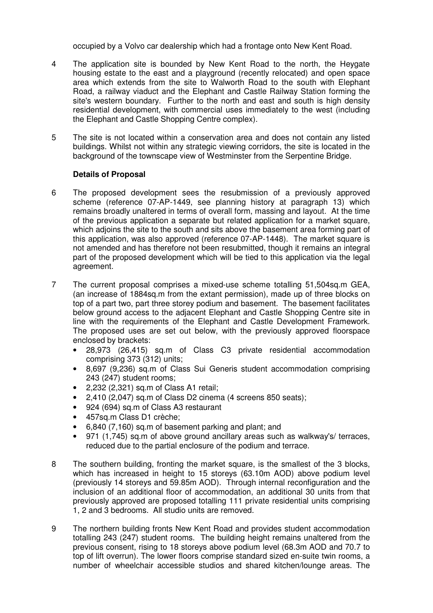occupied by a Volvo car dealership which had a frontage onto New Kent Road.

- 4 The application site is bounded by New Kent Road to the north, the Heygate housing estate to the east and a playground (recently relocated) and open space area which extends from the site to Walworth Road to the south with Elephant Road, a railway viaduct and the Elephant and Castle Railway Station forming the site's western boundary. Further to the north and east and south is high density residential development, with commercial uses immediately to the west (including the Elephant and Castle Shopping Centre complex).
- 5 The site is not located within a conservation area and does not contain any listed buildings. Whilst not within any strategic viewing corridors, the site is located in the background of the townscape view of Westminster from the Serpentine Bridge.

## **Details of Proposal**

- 6 The proposed development sees the resubmission of a previously approved scheme (reference 07-AP-1449, see planning history at paragraph 13) which remains broadly unaltered in terms of overall form, massing and layout. At the time of the previous application a separate but related application for a market square, which adjoins the site to the south and sits above the basement area forming part of this application, was also approved (reference 07-AP-1448). The market square is not amended and has therefore not been resubmitted, though it remains an integral part of the proposed development which will be tied to this application via the legal agreement.
- 7 The current proposal comprises a mixed-use scheme totalling 51,504sq.m GEA, (an increase of 1884sq.m from the extant permission), made up of three blocks on top of a part two, part three storey podium and basement. The basement facilitates below ground access to the adjacent Elephant and Castle Shopping Centre site in line with the requirements of the Elephant and Castle Development Framework. The proposed uses are set out below, with the previously approved floorspace enclosed by brackets:
	- 28,973 (26,415) sq.m of Class C3 private residential accommodation comprising 373 (312) units;
	- 8,697 (9,236) sq.m of Class Sui Generis student accommodation comprising 243 (247) student rooms;
	- 2,232 (2,321) sq.m of Class A1 retail;
	- 2,410 (2,047) sq.m of Class D2 cinema (4 screens 850 seats);
	- 924 (694) sq.m of Class A3 restaurant
	- 457sq.m Class D1 crèche;
	- 6,840 (7,160) sq.m of basement parking and plant; and
	- 971 (1,745) sq.m of above ground ancillary areas such as walkway's/ terraces, reduced due to the partial enclosure of the podium and terrace.
- 8 The southern building, fronting the market square, is the smallest of the 3 blocks, which has increased in height to 15 storeys (63.10m AOD) above podium level (previously 14 storeys and 59.85m AOD). Through internal reconfiguration and the inclusion of an additional floor of accommodation, an additional 30 units from that previously approved are proposed totalling 111 private residential units comprising 1, 2 and 3 bedrooms. All studio units are removed.
- 9 The northern building fronts New Kent Road and provides student accommodation totalling 243 (247) student rooms. The building height remains unaltered from the previous consent, rising to 18 storeys above podium level (68.3m AOD and 70.7 to top of lift overrun). The lower floors comprise standard sized en-suite twin rooms, a number of wheelchair accessible studios and shared kitchen/lounge areas. The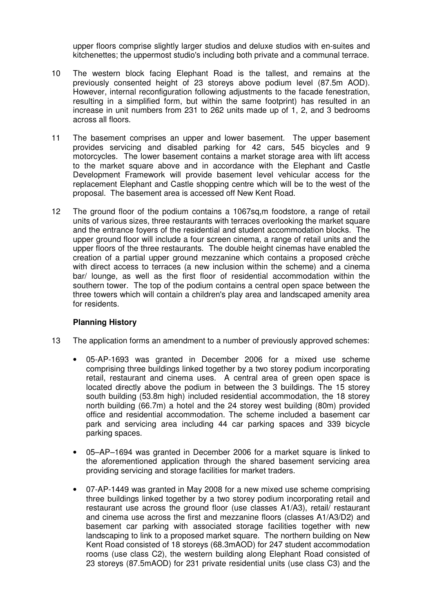upper floors comprise slightly larger studios and deluxe studios with en-suites and kitchenettes; the uppermost studio's including both private and a communal terrace.

- 10 The western block facing Elephant Road is the tallest, and remains at the previously consented height of 23 storeys above podium level (87.5m AOD). However, internal reconfiguration following adjustments to the facade fenestration, resulting in a simplified form, but within the same footprint) has resulted in an increase in unit numbers from 231 to 262 units made up of 1, 2, and 3 bedrooms across all floors.
- 11 The basement comprises an upper and lower basement. The upper basement provides servicing and disabled parking for 42 cars, 545 bicycles and 9 motorcycles. The lower basement contains a market storage area with lift access to the market square above and in accordance with the Elephant and Castle Development Framework will provide basement level vehicular access for the replacement Elephant and Castle shopping centre which will be to the west of the proposal. The basement area is accessed off New Kent Road.
- 12 The ground floor of the podium contains a 1067sq,m foodstore, a range of retail units of various sizes, three restaurants with terraces overlooking the market square and the entrance foyers of the residential and student accommodation blocks. The upper ground floor will include a four screen cinema, a range of retail units and the upper floors of the three restaurants. The double height cinemas have enabled the creation of a partial upper ground mezzanine which contains a proposed crèche with direct access to terraces (a new inclusion within the scheme) and a cinema bar/ lounge, as well as the first floor of residential accommodation within the southern tower. The top of the podium contains a central open space between the three towers which will contain a children's play area and landscaped amenity area for residents.

### **Planning History**

- 13 The application forms an amendment to a number of previously approved schemes:
	- 05-AP-1693 was granted in December 2006 for a mixed use scheme comprising three buildings linked together by a two storey podium incorporating retail, restaurant and cinema uses. A central area of green open space is located directly above the podium in between the 3 buildings. The 15 storey south building (53.8m high) included residential accommodation, the 18 storey north building (66.7m) a hotel and the 24 storey west building (80m) provided office and residential accommodation. The scheme included a basement car park and servicing area including 44 car parking spaces and 339 bicycle parking spaces.
	- 05–AP–1694 was granted in December 2006 for a market square is linked to the aforementioned application through the shared basement servicing area providing servicing and storage facilities for market traders.
	- 07-AP-1449 was granted in May 2008 for a new mixed use scheme comprising three buildings linked together by a two storey podium incorporating retail and restaurant use across the ground floor (use classes A1/A3), retail/ restaurant and cinema use across the first and mezzanine floors (classes A1/A3/D2) and basement car parking with associated storage facilities together with new landscaping to link to a proposed market square. The northern building on New Kent Road consisted of 18 storeys (68.3mAOD) for 247 student accommodation rooms (use class C2), the western building along Elephant Road consisted of 23 storeys (87.5mAOD) for 231 private residential units (use class C3) and the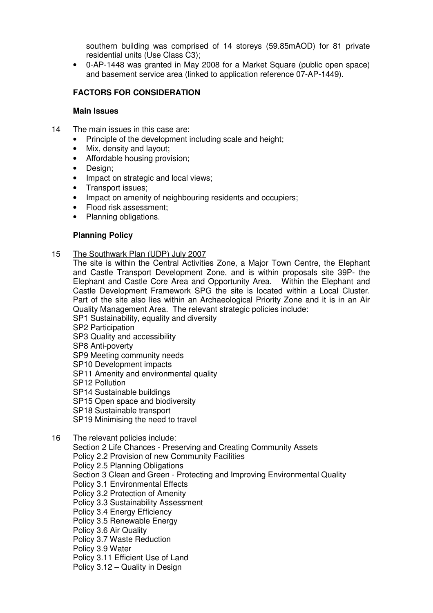southern building was comprised of 14 storeys (59.85mAOD) for 81 private residential units (Use Class C3);

• 0-AP-1448 was granted in May 2008 for a Market Square (public open space) and basement service area (linked to application reference 07-AP-1449).

# **FACTORS FOR CONSIDERATION**

### **Main Issues**

- 14 The main issues in this case are:
	- Principle of the development including scale and height;
	- Mix, density and layout;
	- Affordable housing provision;
	- Design;
	- Impact on strategic and local views;
	- Transport issues;
	- Impact on amenity of neighbouring residents and occupiers;
	- Flood risk assessment;
	- Planning obligations.

### **Planning Policy**

15 The Southwark Plan (UDP) July 2007

The site is within the Central Activities Zone, a Major Town Centre, the Elephant and Castle Transport Development Zone, and is within proposals site 39P- the Elephant and Castle Core Area and Opportunity Area. Within the Elephant and Castle Development Framework SPG the site is located within a Local Cluster. Part of the site also lies within an Archaeological Priority Zone and it is in an Air Quality Management Area. The relevant strategic policies include:

- SP1 Sustainability, equality and diversity
- SP2 Participation
- SP3 Quality and accessibility
- SP8 Anti-poverty
- SP9 Meeting community needs
- SP10 Development impacts
- SP11 Amenity and environmental quality
- SP12 Pollution
- SP14 Sustainable buildings
- SP15 Open space and biodiversity
- SP18 Sustainable transport
- SP19 Minimising the need to travel
- 16 The relevant policies include:

Section 2 Life Chances - Preserving and Creating Community Assets Policy 2.2 Provision of new Community Facilities Policy 2.5 Planning Obligations Section 3 Clean and Green - Protecting and Improving Environmental Quality Policy 3.1 Environmental Effects Policy 3.2 Protection of Amenity Policy 3.3 Sustainability Assessment Policy 3.4 Energy Efficiency Policy 3.5 Renewable Energy Policy 3.6 Air Quality Policy 3.7 Waste Reduction Policy 3.9 Water Policy 3.11 Efficient Use of Land Policy 3.12 – Quality in Design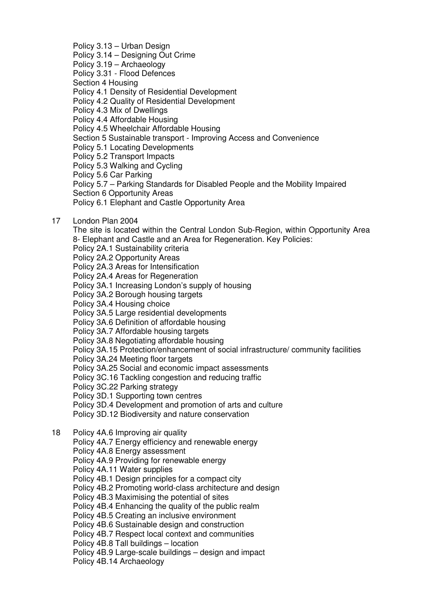Policy 3.13 – Urban Design Policy 3.14 – Designing Out Crime Policy 3.19 – Archaeology Policy 3.31 - Flood Defences Section 4 Housing Policy 4.1 Density of Residential Development Policy 4.2 Quality of Residential Development Policy 4.3 Mix of Dwellings Policy 4.4 Affordable Housing Policy 4.5 Wheelchair Affordable Housing Section 5 Sustainable transport - Improving Access and Convenience Policy 5.1 Locating Developments Policy 5.2 Transport Impacts Policy 5.3 Walking and Cycling Policy 5.6 Car Parking Policy 5.7 – Parking Standards for Disabled People and the Mobility Impaired Section 6 Opportunity Areas Policy 6.1 Elephant and Castle Opportunity Area 17 London Plan 2004 The site is located within the Central London Sub-Region, within Opportunity Area 8- Elephant and Castle and an Area for Regeneration. Key Policies: Policy 2A.1 Sustainability criteria Policy 2A.2 Opportunity Areas Policy 2A.3 Areas for Intensification Policy 2A.4 Areas for Regeneration Policy 3A.1 Increasing London's supply of housing Policy 3A.2 Borough housing targets Policy 3A.4 Housing choice Policy 3A.5 Large residential developments Policy 3A.6 Definition of affordable housing Policy 3A.7 Affordable housing targets Policy 3A.8 Negotiating affordable housing Policy 3A.15 Protection/enhancement of social infrastructure/ community facilities Policy 3A.24 Meeting floor targets Policy 3A.25 Social and economic impact assessments Policy 3C.16 Tackling congestion and reducing traffic Policy 3C.22 Parking strategy Policy 3D.1 Supporting town centres Policy 3D.4 Development and promotion of arts and culture Policy 3D.12 Biodiversity and nature conservation 18 Policy 4A.6 Improving air quality Policy 4A.7 Energy efficiency and renewable energy Policy 4A.8 Energy assessment Policy 4A.9 Providing for renewable energy Policy 4A.11 Water supplies Policy 4B.1 Design principles for a compact city Policy 4B.2 Promoting world-class architecture and design Policy 4B.3 Maximising the potential of sites Policy 4B.4 Enhancing the quality of the public realm Policy 4B.5 Creating an inclusive environment Policy 4B.6 Sustainable design and construction

Policy 4B.7 Respect local context and communities

Policy 4B.8 Tall buildings – location

Policy 4B.9 Large-scale buildings – design and impact

Policy 4B.14 Archaeology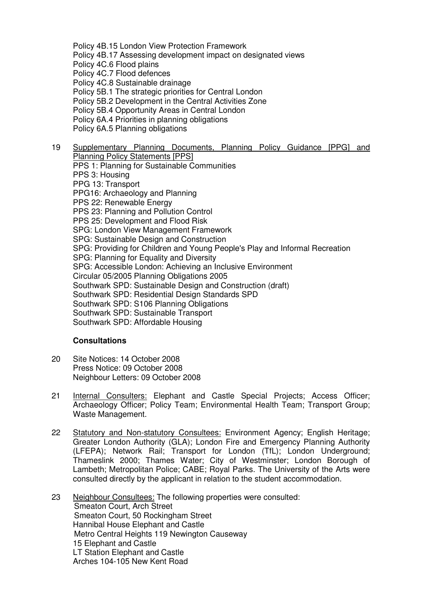Policy 4B.15 London View Protection Framework Policy 4B.17 Assessing development impact on designated views Policy 4C.6 Flood plains Policy 4C.7 Flood defences Policy 4C.8 Sustainable drainage Policy 5B.1 The strategic priorities for Central London Policy 5B.2 Development in the Central Activities Zone Policy 5B.4 Opportunity Areas in Central London Policy 6A.4 Priorities in planning obligations Policy 6A.5 Planning obligations 19 Supplementary Planning Documents, Planning Policy Guidance [PPG] and

Planning Policy Statements [PPS] PPS 1: Planning for Sustainable Communities PPS 3: Housing PPG 13: Transport PPG16: Archaeology and Planning PPS 22: Renewable Energy PPS 23: Planning and Pollution Control PPS 25: Development and Flood Risk SPG: London View Management Framework SPG: Sustainable Design and Construction SPG: Providing for Children and Young People's Play and Informal Recreation SPG: Planning for Equality and Diversity SPG: Accessible London: Achieving an Inclusive Environment Circular 05/2005 Planning Obligations 2005 Southwark SPD: Sustainable Design and Construction (draft) Southwark SPD: Residential Design Standards SPD Southwark SPD: S106 Planning Obligations Southwark SPD: Sustainable Transport Southwark SPD: Affordable Housing

### **Consultations**

- 20 Site Notices: 14 October 2008 Press Notice: 09 October 2008 Neighbour Letters: 09 October 2008
- 21 Internal Consulters: Elephant and Castle Special Projects; Access Officer; Archaeology Officer; Policy Team; Environmental Health Team; Transport Group; Waste Management.
- 22 Statutory and Non-statutory Consultees: Environment Agency; English Heritage; Greater London Authority (GLA); London Fire and Emergency Planning Authority (LFEPA); Network Rail; Transport for London (TfL); London Underground; Thameslink 2000; Thames Water; City of Westminster; London Borough of Lambeth; Metropolitan Police; CABE; Royal Parks. The University of the Arts were consulted directly by the applicant in relation to the student accommodation.
- 23 Neighbour Consultees: The following properties were consulted: Smeaton Court, Arch Street Smeaton Court, 50 Rockingham Street Hannibal House Elephant and Castle Metro Central Heights 119 Newington Causeway 15 Elephant and Castle LT Station Elephant and Castle Arches 104-105 New Kent Road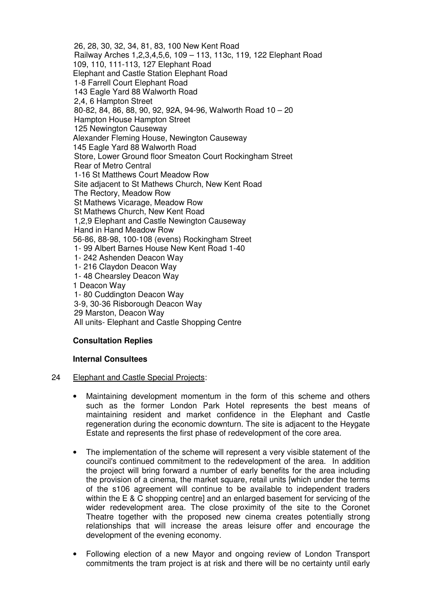26, 28, 30, 32, 34, 81, 83, 100 New Kent Road Railway Arches 1,2,3,4,5,6, 109 – 113, 113c, 119, 122 Elephant Road 109, 110, 111-113, 127 Elephant Road Elephant and Castle Station Elephant Road 1-8 Farrell Court Elephant Road 143 Eagle Yard 88 Walworth Road 2,4, 6 Hampton Street 80-82, 84, 86, 88, 90, 92, 92A, 94-96, Walworth Road 10 – 20 Hampton House Hampton Street 125 Newington Causeway Alexander Fleming House, Newington Causeway 145 Eagle Yard 88 Walworth Road Store, Lower Ground floor Smeaton Court Rockingham Street Rear of Metro Central 1-16 St Matthews Court Meadow Row Site adjacent to St Mathews Church, New Kent Road The Rectory, Meadow Row St Mathews Vicarage, Meadow Row St Mathews Church, New Kent Road 1,2,9 Elephant and Castle Newington Causeway Hand in Hand Meadow Row 56-86, 88-98, 100-108 (evens) Rockingham Street 1- 99 Albert Barnes House New Kent Road 1-40 1- 242 Ashenden Deacon Way 1- 216 Claydon Deacon Way 1- 48 Chearsley Deacon Way 1 Deacon Way 1- 80 Cuddington Deacon Way 3-9, 30-36 Risborough Deacon Way 29 Marston, Deacon Way All units- Elephant and Castle Shopping Centre

# **Consultation Replies**

### **Internal Consultees**

### 24 Elephant and Castle Special Projects:

- Maintaining development momentum in the form of this scheme and others such as the former London Park Hotel represents the best means of maintaining resident and market confidence in the Elephant and Castle regeneration during the economic downturn. The site is adjacent to the Heygate Estate and represents the first phase of redevelopment of the core area.
- The implementation of the scheme will represent a very visible statement of the council's continued commitment to the redevelopment of the area. In addition the project will bring forward a number of early benefits for the area including the provision of a cinema, the market square, retail units [which under the terms of the s106 agreement will continue to be available to independent traders within the E & C shopping centrel and an enlarged basement for servicing of the wider redevelopment area. The close proximity of the site to the Coronet Theatre together with the proposed new cinema creates potentially strong relationships that will increase the areas leisure offer and encourage the development of the evening economy.
- Following election of a new Mayor and ongoing review of London Transport commitments the tram project is at risk and there will be no certainty until early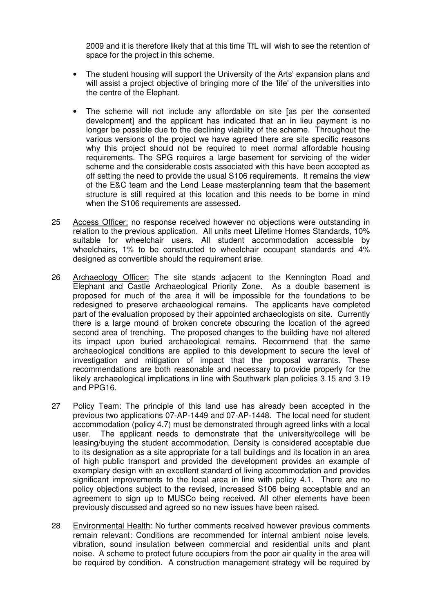2009 and it is therefore likely that at this time TfL will wish to see the retention of space for the project in this scheme.

- The student housing will support the University of the Arts' expansion plans and will assist a project objective of bringing more of the 'life' of the universities into the centre of the Elephant.
- The scheme will not include any affordable on site [as per the consented development] and the applicant has indicated that an in lieu payment is no longer be possible due to the declining viability of the scheme. Throughout the various versions of the project we have agreed there are site specific reasons why this project should not be required to meet normal affordable housing requirements. The SPG requires a large basement for servicing of the wider scheme and the considerable costs associated with this have been accepted as off setting the need to provide the usual S106 requirements. It remains the view of the E&C team and the Lend Lease masterplanning team that the basement structure is still required at this location and this needs to be borne in mind when the S106 requirements are assessed.
- 25 Access Officer: no response received however no objections were outstanding in relation to the previous application. All units meet Lifetime Homes Standards, 10% suitable for wheelchair users. All student accommodation accessible by wheelchairs, 1% to be constructed to wheelchair occupant standards and 4% designed as convertible should the requirement arise.
- 26 Archaeology Officer: The site stands adjacent to the Kennington Road and Elephant and Castle Archaeological Priority Zone. As a double basement is proposed for much of the area it will be impossible for the foundations to be redesigned to preserve archaeological remains. The applicants have completed part of the evaluation proposed by their appointed archaeologists on site. Currently there is a large mound of broken concrete obscuring the location of the agreed second area of trenching. The proposed changes to the building have not altered its impact upon buried archaeological remains. Recommend that the same archaeological conditions are applied to this development to secure the level of investigation and mitigation of impact that the proposal warrants. These recommendations are both reasonable and necessary to provide properly for the likely archaeological implications in line with Southwark plan policies 3.15 and 3.19 and PPG16.
- 27 Policy Team: The principle of this land use has already been accepted in the previous two applications 07-AP-1449 and 07-AP-1448. The local need for student accommodation (policy 4.7) must be demonstrated through agreed links with a local user. The applicant needs to demonstrate that the university/college will be leasing/buying the student accommodation. Density is considered acceptable due to its designation as a site appropriate for a tall buildings and its location in an area of high public transport and provided the development provides an example of exemplary design with an excellent standard of living accommodation and provides significant improvements to the local area in line with policy 4.1. There are no policy objections subject to the revised, increased S106 being acceptable and an agreement to sign up to MUSCo being received. All other elements have been previously discussed and agreed so no new issues have been raised.
- 28 Environmental Health: No further comments received however previous comments remain relevant: Conditions are recommended for internal ambient noise levels, vibration, sound insulation between commercial and residential units and plant noise. A scheme to protect future occupiers from the poor air quality in the area will be required by condition. A construction management strategy will be required by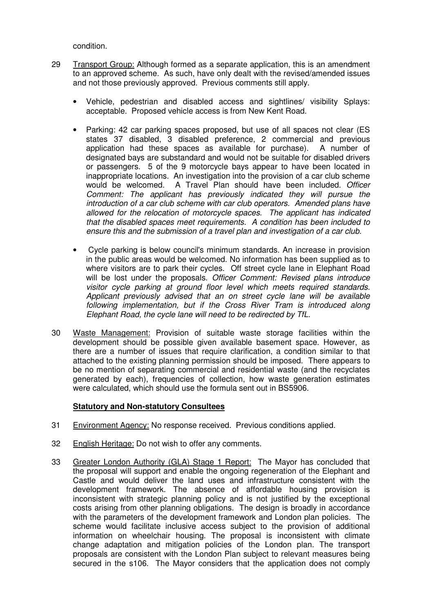condition.

- 29 Transport Group: Although formed as a separate application, this is an amendment to an approved scheme. As such, have only dealt with the revised/amended issues and not those previously approved. Previous comments still apply.
	- Vehicle, pedestrian and disabled access and sightlines/ visibility Splays: acceptable. Proposed vehicle access is from New Kent Road.
	- Parking: 42 car parking spaces proposed, but use of all spaces not clear (ES states 37 disabled, 3 disabled preference, 2 commercial and previous application had these spaces as available for purchase). A number of designated bays are substandard and would not be suitable for disabled drivers or passengers. 5 of the 9 motorcycle bays appear to have been located in inappropriate locations. An investigation into the provision of a car club scheme would be welcomed. A Travel Plan should have been included. Officer Comment: The applicant has previously indicated they will pursue the introduction of a car club scheme with car club operators. Amended plans have allowed for the relocation of motorcycle spaces. The applicant has indicated that the disabled spaces meet requirements. A condition has been included to ensure this and the submission of a travel plan and investigation of a car club.
	- Cycle parking is below council's minimum standards. An increase in provision in the public areas would be welcomed. No information has been supplied as to where visitors are to park their cycles. Off street cycle lane in Elephant Road will be lost under the proposals. Officer Comment: Revised plans introduce visitor cycle parking at ground floor level which meets required standards. Applicant previously advised that an on street cycle lane will be available following implementation, but if the Cross River Tram is introduced along Elephant Road, the cycle lane will need to be redirected by TfL.
- 30 Waste Management: Provision of suitable waste storage facilities within the development should be possible given available basement space. However, as there are a number of issues that require clarification, a condition similar to that attached to the existing planning permission should be imposed. There appears to be no mention of separating commercial and residential waste (and the recyclates generated by each), frequencies of collection, how waste generation estimates were calculated, which should use the formula sent out in BS5906.

### **Statutory and Non-statutory Consultees**

- 31 Environment Agency: No response received. Previous conditions applied.
- 32 English Heritage: Do not wish to offer any comments.
- 33 Greater London Authority (GLA) Stage 1 Report:The Mayor has concluded that the proposal will support and enable the ongoing regeneration of the Elephant and Castle and would deliver the land uses and infrastructure consistent with the development framework. The absence of affordable housing provision is inconsistent with strategic planning policy and is not justified by the exceptional costs arising from other planning obligations. The design is broadly in accordance with the parameters of the development framework and London plan policies. The scheme would facilitate inclusive access subject to the provision of additional information on wheelchair housing. The proposal is inconsistent with climate change adaptation and mitigation policies of the London plan. The transport proposals are consistent with the London Plan subject to relevant measures being secured in the s106. The Mayor considers that the application does not comply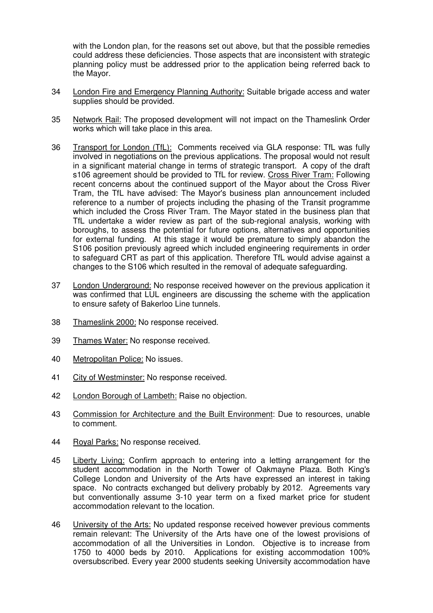with the London plan, for the reasons set out above, but that the possible remedies could address these deficiencies. Those aspects that are inconsistent with strategic planning policy must be addressed prior to the application being referred back to the Mayor.

- 34 London Fire and Emergency Planning Authority: Suitable brigade access and water supplies should be provided.
- 35 Network Rail: The proposed development will not impact on the Thameslink Order works which will take place in this area.
- 36 Transport for London (TfL): Comments received via GLA response: TfL was fully involved in negotiations on the previous applications. The proposal would not result in a significant material change in terms of strategic transport. A copy of the draft s106 agreement should be provided to TfL for review. Cross River Tram: Following recent concerns about the continued support of the Mayor about the Cross River Tram, the TfL have advised: The Mayor's business plan announcement included reference to a number of projects including the phasing of the Transit programme which included the Cross River Tram. The Mayor stated in the business plan that TfL undertake a wider review as part of the sub-regional analysis, working with boroughs, to assess the potential for future options, alternatives and opportunities for external funding. At this stage it would be premature to simply abandon the S106 position previously agreed which included engineering requirements in order to safeguard CRT as part of this application. Therefore TfL would advise against a changes to the S106 which resulted in the removal of adequate safeguarding.
- 37 London Underground: No response received however on the previous application it was confirmed that LUL engineers are discussing the scheme with the application to ensure safety of Bakerloo Line tunnels.
- 38 Thameslink 2000: No response received.
- 39 Thames Water: No response received.
- 40 Metropolitan Police: No issues.
- 41 City of Westminster: No response received.
- 42 London Borough of Lambeth: Raise no objection.
- 43 Commission for Architecture and the Built Environment: Due to resources, unable to comment.
- 44 Royal Parks: No response received.
- 45 Liberty Living: Confirm approach to entering into a letting arrangement for the student accommodation in the North Tower of Oakmayne Plaza. Both King's College London and University of the Arts have expressed an interest in taking space. No contracts exchanged but delivery probably by 2012. Agreements vary but conventionally assume 3-10 year term on a fixed market price for student accommodation relevant to the location.
- 46 University of the Arts: No updated response received however previous comments remain relevant: The University of the Arts have one of the lowest provisions of accommodation of all the Universities in London. Objective is to increase from 1750 to 4000 beds by 2010. Applications for existing accommodation 100% oversubscribed. Every year 2000 students seeking University accommodation have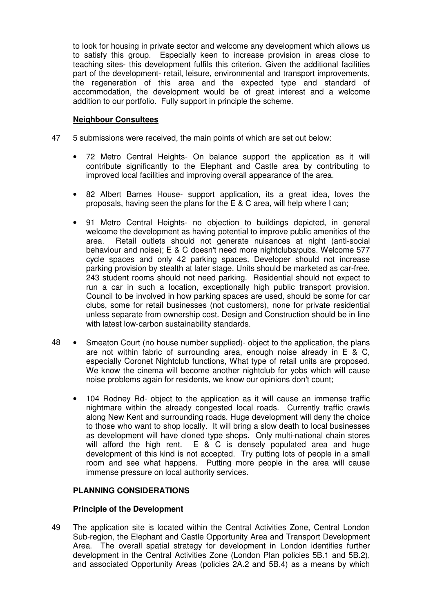to look for housing in private sector and welcome any development which allows us to satisfy this group. Especially keen to increase provision in areas close to teaching sites- this development fulfils this criterion. Given the additional facilities part of the development- retail, leisure, environmental and transport improvements, the regeneration of this area and the expected type and standard of accommodation, the development would be of great interest and a welcome addition to our portfolio. Fully support in principle the scheme.

### **Neighbour Consultees**

- 47 5 submissions were received, the main points of which are set out below:
	- 72 Metro Central Heights- On balance support the application as it will contribute significantly to the Elephant and Castle area by contributing to improved local facilities and improving overall appearance of the area.
	- 82 Albert Barnes House- support application, its a great idea, loves the proposals, having seen the plans for the E & C area, will help where I can;
	- 91 Metro Central Heights- no objection to buildings depicted, in general welcome the development as having potential to improve public amenities of the area. Retail outlets should not generate nuisances at night (anti-social behaviour and noise); E & C doesn't need more nightclubs/pubs. Welcome 577 cycle spaces and only 42 parking spaces. Developer should not increase parking provision by stealth at later stage. Units should be marketed as car-free. 243 student rooms should not need parking. Residential should not expect to run a car in such a location, exceptionally high public transport provision. Council to be involved in how parking spaces are used, should be some for car clubs, some for retail businesses (not customers), none for private residential unless separate from ownership cost. Design and Construction should be in line with latest low-carbon sustainability standards.
- 48 Smeaton Court (no house number supplied)- object to the application, the plans are not within fabric of surrounding area, enough noise already in E & C, especially Coronet Nightclub functions, What type of retail units are proposed. We know the cinema will become another nightclub for yobs which will cause noise problems again for residents, we know our opinions don't count;
	- 104 Rodney Rd- object to the application as it will cause an immense traffic nightmare within the already congested local roads. Currently traffic crawls along New Kent and surrounding roads. Huge development will deny the choice to those who want to shop locally. It will bring a slow death to local businesses as development will have cloned type shops. Only multi-national chain stores will afford the high rent. E & C is densely populated area and huge development of this kind is not accepted. Try putting lots of people in a small room and see what happens. Putting more people in the area will cause immense pressure on local authority services.

### **PLANNING CONSIDERATIONS**

### **Principle of the Development**

49 The application site is located within the Central Activities Zone, Central London Sub-region, the Elephant and Castle Opportunity Area and Transport Development Area. The overall spatial strategy for development in London identifies further development in the Central Activities Zone (London Plan policies 5B.1 and 5B.2), and associated Opportunity Areas (policies 2A.2 and 5B.4) as a means by which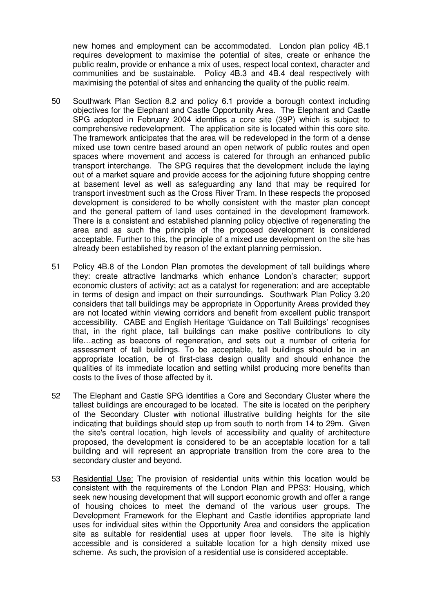new homes and employment can be accommodated. London plan policy 4B.1 requires development to maximise the potential of sites, create or enhance the public realm, provide or enhance a mix of uses, respect local context, character and communities and be sustainable. Policy 4B.3 and 4B.4 deal respectively with maximising the potential of sites and enhancing the quality of the public realm.

- 50 Southwark Plan Section 8.2 and policy 6.1 provide a borough context including objectives for the Elephant and Castle Opportunity Area. The Elephant and Castle SPG adopted in February 2004 identifies a core site (39P) which is subject to comprehensive redevelopment. The application site is located within this core site. The framework anticipates that the area will be redeveloped in the form of a dense mixed use town centre based around an open network of public routes and open spaces where movement and access is catered for through an enhanced public transport interchange. The SPG requires that the development include the laying out of a market square and provide access for the adjoining future shopping centre at basement level as well as safeguarding any land that may be required for transport investment such as the Cross River Tram. In these respects the proposed development is considered to be wholly consistent with the master plan concept and the general pattern of land uses contained in the development framework. There is a consistent and established planning policy objective of regenerating the area and as such the principle of the proposed development is considered acceptable. Further to this, the principle of a mixed use development on the site has already been established by reason of the extant planning permission.
- 51 Policy 4B.8 of the London Plan promotes the development of tall buildings where they: create attractive landmarks which enhance London's character; support economic clusters of activity; act as a catalyst for regeneration; and are acceptable in terms of design and impact on their surroundings. Southwark Plan Policy 3.20 considers that tall buildings may be appropriate in Opportunity Areas provided they are not located within viewing corridors and benefit from excellent public transport accessibility. CABE and English Heritage 'Guidance on Tall Buildings' recognises that, in the right place, tall buildings can make positive contributions to city life…acting as beacons of regeneration, and sets out a number of criteria for assessment of tall buildings. To be acceptable, tall buildings should be in an appropriate location, be of first-class design quality and should enhance the qualities of its immediate location and setting whilst producing more benefits than costs to the lives of those affected by it.
- 52 The Elephant and Castle SPG identifies a Core and Secondary Cluster where the tallest buildings are encouraged to be located. The site is located on the periphery of the Secondary Cluster with notional illustrative building heights for the site indicating that buildings should step up from south to north from 14 to 29m. Given the site's central location, high levels of accessibility and quality of architecture proposed, the development is considered to be an acceptable location for a tall building and will represent an appropriate transition from the core area to the secondary cluster and beyond.
- 53 Residential Use: The provision of residential units within this location would be consistent with the requirements of the London Plan and PPS3: Housing, which seek new housing development that will support economic growth and offer a range of housing choices to meet the demand of the various user groups. The Development Framework for the Elephant and Castle identifies appropriate land uses for individual sites within the Opportunity Area and considers the application site as suitable for residential uses at upper floor levels. The site is highly accessible and is considered a suitable location for a high density mixed use scheme. As such, the provision of a residential use is considered acceptable.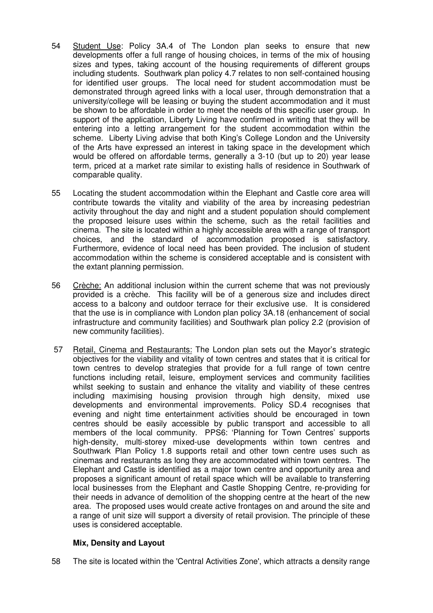- 54 Student Use: Policy 3A.4 of The London plan seeks to ensure that new developments offer a full range of housing choices, in terms of the mix of housing sizes and types, taking account of the housing requirements of different groups including students. Southwark plan policy 4.7 relates to non self-contained housing for identified user groups. The local need for student accommodation must be demonstrated through agreed links with a local user, through demonstration that a university/college will be leasing or buying the student accommodation and it must be shown to be affordable in order to meet the needs of this specific user group. In support of the application, Liberty Living have confirmed in writing that they will be entering into a letting arrangement for the student accommodation within the scheme. Liberty Living advise that both King's College London and the University of the Arts have expressed an interest in taking space in the development which would be offered on affordable terms, generally a 3-10 (but up to 20) year lease term, priced at a market rate similar to existing halls of residence in Southwark of comparable quality.
- 55 Locating the student accommodation within the Elephant and Castle core area will contribute towards the vitality and viability of the area by increasing pedestrian activity throughout the day and night and a student population should complement the proposed leisure uses within the scheme, such as the retail facilities and cinema. The site is located within a highly accessible area with a range of transport choices, and the standard of accommodation proposed is satisfactory. Furthermore, evidence of local need has been provided. The inclusion of student accommodation within the scheme is considered acceptable and is consistent with the extant planning permission.
- 56 Crèche: An additional inclusion within the current scheme that was not previously provided is a crèche. This facility will be of a generous size and includes direct access to a balcony and outdoor terrace for their exclusive use. It is considered that the use is in compliance with London plan policy 3A.18 (enhancement of social infrastructure and community facilities) and Southwark plan policy 2.2 (provision of new community facilities).
- 57 Retail, Cinema and Restaurants: The London plan sets out the Mayor's strategic objectives for the viability and vitality of town centres and states that it is critical for town centres to develop strategies that provide for a full range of town centre functions including retail, leisure, employment services and community facilities whilst seeking to sustain and enhance the vitality and viability of these centres including maximising housing provision through high density, mixed use developments and environmental improvements. Policy SD.4 recognises that evening and night time entertainment activities should be encouraged in town centres should be easily accessible by public transport and accessible to all members of the local community. PPS6: 'Planning for Town Centres' supports high-density, multi-storey mixed-use developments within town centres and Southwark Plan Policy 1.8 supports retail and other town centre uses such as cinemas and restaurants as long they are accommodated within town centres. The Elephant and Castle is identified as a major town centre and opportunity area and proposes a significant amount of retail space which will be available to transferring local businesses from the Elephant and Castle Shopping Centre, re-providing for their needs in advance of demolition of the shopping centre at the heart of the new area. The proposed uses would create active frontages on and around the site and a range of unit size will support a diversity of retail provision. The principle of these uses is considered acceptable.

# **Mix, Density and Layout**

58 The site is located within the 'Central Activities Zone', which attracts a density range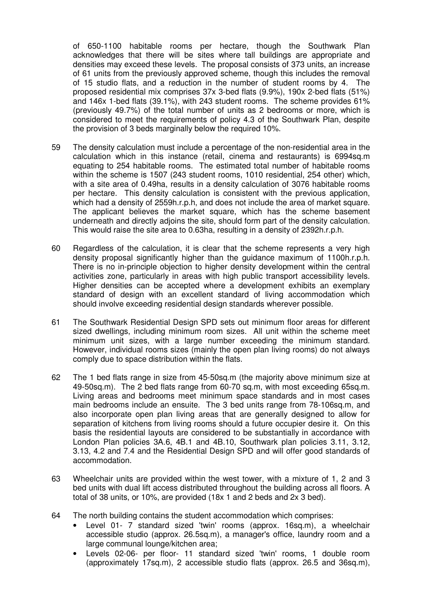of 650-1100 habitable rooms per hectare, though the Southwark Plan acknowledges that there will be sites where tall buildings are appropriate and densities may exceed these levels. The proposal consists of 373 units, an increase of 61 units from the previously approved scheme, though this includes the removal of 15 studio flats, and a reduction in the number of student rooms by 4. The proposed residential mix comprises 37x 3-bed flats (9.9%), 190x 2-bed flats (51%) and 146x 1-bed flats (39.1%), with 243 student rooms. The scheme provides 61% (previously 49.7%) of the total number of units as 2 bedrooms or more, which is considered to meet the requirements of policy 4.3 of the Southwark Plan, despite the provision of 3 beds marginally below the required 10%.

- 59 The density calculation must include a percentage of the non-residential area in the calculation which in this instance (retail, cinema and restaurants) is 6994sq.m equating to 254 habitable rooms. The estimated total number of habitable rooms within the scheme is 1507 (243 student rooms, 1010 residential, 254 other) which, with a site area of 0.49ha, results in a density calculation of 3076 habitable rooms per hectare. This density calculation is consistent with the previous application, which had a density of 2559h.r.p.h, and does not include the area of market square. The applicant believes the market square, which has the scheme basement underneath and directly adjoins the site, should form part of the density calculation. This would raise the site area to 0.63ha, resulting in a density of 2392h.r.p.h.
- 60 Regardless of the calculation, it is clear that the scheme represents a very high density proposal significantly higher than the guidance maximum of 1100h.r.p.h. There is no in-principle objection to higher density development within the central activities zone, particularly in areas with high public transport accessibility levels. Higher densities can be accepted where a development exhibits an exemplary standard of design with an excellent standard of living accommodation which should involve exceeding residential design standards wherever possible.
- 61 The Southwark Residential Design SPD sets out minimum floor areas for different sized dwellings, including minimum room sizes. All unit within the scheme meet minimum unit sizes, with a large number exceeding the minimum standard. However, individual rooms sizes (mainly the open plan living rooms) do not always comply due to space distribution within the flats.
- 62 The 1 bed flats range in size from 45-50sq.m (the majority above minimum size at 49-50sq.m). The 2 bed flats range from 60-70 sq.m, with most exceeding 65sq.m. Living areas and bedrooms meet minimum space standards and in most cases main bedrooms include an ensuite. The 3 bed units range from 78-106sq.m, and also incorporate open plan living areas that are generally designed to allow for separation of kitchens from living rooms should a future occupier desire it. On this basis the residential layouts are considered to be substantially in accordance with London Plan policies 3A.6, 4B.1 and 4B.10, Southwark plan policies 3.11, 3.12, 3.13, 4.2 and 7.4 and the Residential Design SPD and will offer good standards of accommodation.
- 63 Wheelchair units are provided within the west tower, with a mixture of 1, 2 and 3 bed units with dual lift access distributed throughout the building across all floors. A total of 38 units, or 10%, are provided (18x 1 and 2 beds and 2x 3 bed).
- 64 The north building contains the student accommodation which comprises:
	- Level 01- 7 standard sized 'twin' rooms (approx. 16sq.m), a wheelchair accessible studio (approx. 26.5sq.m), a manager's office, laundry room and a large communal lounge/kitchen area;
	- Levels 02-06- per floor- 11 standard sized 'twin' rooms, 1 double room (approximately 17sq.m), 2 accessible studio flats (approx. 26.5 and 36sq.m),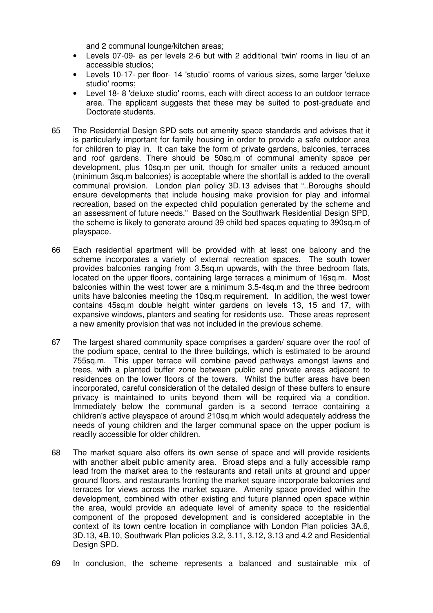and 2 communal lounge/kitchen areas;

- Levels 07-09- as per levels 2-6 but with 2 additional 'twin' rooms in lieu of an accessible studios;
- Levels 10-17- per floor- 14 'studio' rooms of various sizes, some larger 'deluxe studio' rooms;
- Level 18- 8 'deluxe studio' rooms, each with direct access to an outdoor terrace area. The applicant suggests that these may be suited to post-graduate and Doctorate students.
- 65 The Residential Design SPD sets out amenity space standards and advises that it is particularly important for family housing in order to provide a safe outdoor area for children to play in. It can take the form of private gardens, balconies, terraces and roof gardens. There should be 50sq.m of communal amenity space per development, plus 10sq.m per unit, though for smaller units a reduced amount (minimum 3sq.m balconies) is acceptable where the shortfall is added to the overall communal provision.London plan policy 3D.13 advises that "..Boroughs should ensure developments that include housing make provision for play and informal recreation, based on the expected child population generated by the scheme and an assessment of future needs." Based on the Southwark Residential Design SPD, the scheme is likely to generate around 39 child bed spaces equating to 390sq.m of playspace.
- 66 Each residential apartment will be provided with at least one balcony and the scheme incorporates a variety of external recreation spaces. The south tower provides balconies ranging from 3.5sq.m upwards, with the three bedroom flats, located on the upper floors, containing large terraces a minimum of 16sq.m. Most balconies within the west tower are a minimum 3.5-4sq.m and the three bedroom units have balconies meeting the 10sq.m requirement. In addition, the west tower contains 45sq.m double height winter gardens on levels 13, 15 and 17, with expansive windows, planters and seating for residents use. These areas represent a new amenity provision that was not included in the previous scheme.
- 67 The largest shared community space comprises a garden/ square over the roof of the podium space, central to the three buildings, which is estimated to be around 755sq.m. This upper terrace will combine paved pathways amongst lawns and trees, with a planted buffer zone between public and private areas adjacent to residences on the lower floors of the towers. Whilst the buffer areas have been incorporated, careful consideration of the detailed design of these buffers to ensure privacy is maintained to units beyond them will be required via a condition. Immediately below the communal garden is a second terrace containing a children's active playspace of around 210sq.m which would adequately address the needs of young children and the larger communal space on the upper podium is readily accessible for older children.
- 68 The market square also offers its own sense of space and will provide residents with another albeit public amenity area. Broad steps and a fully accessible ramp lead from the market area to the restaurants and retail units at ground and upper ground floors, and restaurants fronting the market square incorporate balconies and terraces for views across the market square. Amenity space provided within the development, combined with other existing and future planned open space within the area, would provide an adequate level of amenity space to the residential component of the proposed development and is considered acceptable in the context of its town centre location in compliance with London Plan policies 3A.6, 3D.13, 4B.10, Southwark Plan policies 3.2, 3.11, 3.12, 3.13 and 4.2 and Residential Design SPD.
- 69 In conclusion, the scheme represents a balanced and sustainable mix of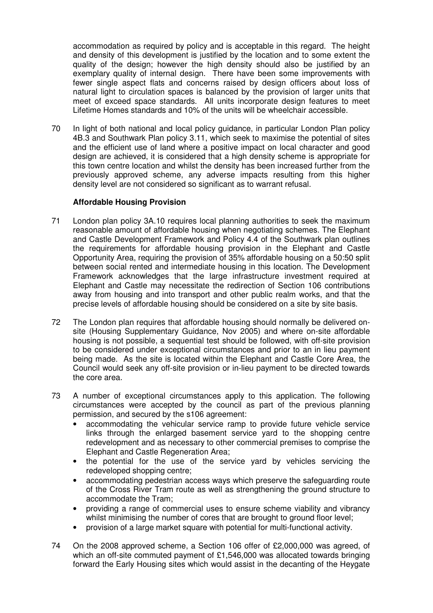accommodation as required by policy and is acceptable in this regard. The height and density of this development is justified by the location and to some extent the quality of the design; however the high density should also be justified by an exemplary quality of internal design. There have been some improvements with fewer single aspect flats and concerns raised by design officers about loss of natural light to circulation spaces is balanced by the provision of larger units that meet of exceed space standards. All units incorporate design features to meet Lifetime Homes standards and 10% of the units will be wheelchair accessible.

70 In light of both national and local policy guidance, in particular London Plan policy 4B.3 and Southwark Plan policy 3.11, which seek to maximise the potential of sites and the efficient use of land where a positive impact on local character and good design are achieved, it is considered that a high density scheme is appropriate for this town centre location and whilst the density has been increased further from the previously approved scheme, any adverse impacts resulting from this higher density level are not considered so significant as to warrant refusal.

## **Affordable Housing Provision**

- 71 London plan policy 3A.10 requires local planning authorities to seek the maximum reasonable amount of affordable housing when negotiating schemes. The Elephant and Castle Development Framework and Policy 4.4 of the Southwark plan outlines the requirements for affordable housing provision in the Elephant and Castle Opportunity Area, requiring the provision of 35% affordable housing on a 50:50 split between social rented and intermediate housing in this location. The Development Framework acknowledges that the large infrastructure investment required at Elephant and Castle may necessitate the redirection of Section 106 contributions away from housing and into transport and other public realm works, and that the precise levels of affordable housing should be considered on a site by site basis.
- 72 The London plan requires that affordable housing should normally be delivered onsite (Housing Supplementary Guidance, Nov 2005) and where on-site affordable housing is not possible, a sequential test should be followed, with off-site provision to be considered under exceptional circumstances and prior to an in lieu payment being made. As the site is located within the Elephant and Castle Core Area, the Council would seek any off-site provision or in-lieu payment to be directed towards the core area.
- 73 A number of exceptional circumstances apply to this application. The following circumstances were accepted by the council as part of the previous planning permission, and secured by the s106 agreement:
	- accommodating the vehicular service ramp to provide future vehicle service links through the enlarged basement service yard to the shopping centre redevelopment and as necessary to other commercial premises to comprise the Elephant and Castle Regeneration Area;
	- the potential for the use of the service yard by vehicles servicing the redeveloped shopping centre;
	- accommodating pedestrian access ways which preserve the safeguarding route of the Cross River Tram route as well as strengthening the ground structure to accommodate the Tram;
	- providing a range of commercial uses to ensure scheme viability and vibrancy whilst minimising the number of cores that are brought to ground floor level;
	- provision of a large market square with potential for multi-functional activity.
- 74 On the 2008 approved scheme, a Section 106 offer of £2,000,000 was agreed, of which an off-site commuted payment of £1,546,000 was allocated towards bringing forward the Early Housing sites which would assist in the decanting of the Heygate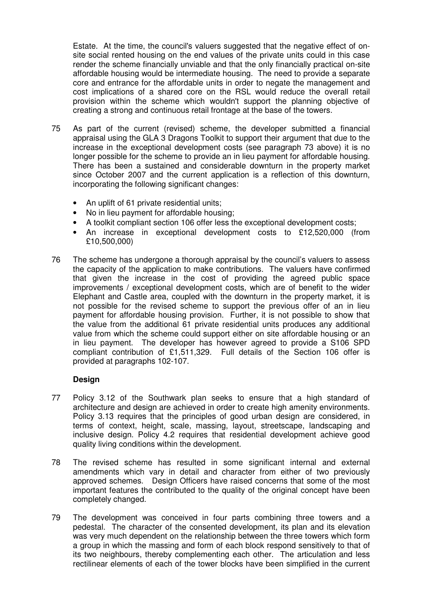Estate. At the time, the council's valuers suggested that the negative effect of onsite social rented housing on the end values of the private units could in this case render the scheme financially unviable and that the only financially practical on-site affordable housing would be intermediate housing. The need to provide a separate core and entrance for the affordable units in order to negate the management and cost implications of a shared core on the RSL would reduce the overall retail provision within the scheme which wouldn't support the planning objective of creating a strong and continuous retail frontage at the base of the towers.

- 75 As part of the current (revised) scheme, the developer submitted a financial appraisal using the GLA 3 Dragons Toolkit to support their argument that due to the increase in the exceptional development costs (see paragraph 73 above) it is no longer possible for the scheme to provide an in lieu payment for affordable housing. There has been a sustained and considerable downturn in the property market since October 2007 and the current application is a reflection of this downturn, incorporating the following significant changes:
	- An uplift of 61 private residential units;
	- No in lieu payment for affordable housing;
	- A toolkit compliant section 106 offer less the exceptional development costs;
	- An increase in exceptional development costs to £12,520,000 (from £10,500,000)
- 76 The scheme has undergone a thorough appraisal by the council's valuers to assess the capacity of the application to make contributions. The valuers have confirmed that given the increase in the cost of providing the agreed public space improvements / exceptional development costs, which are of benefit to the wider Elephant and Castle area, coupled with the downturn in the property market, it is not possible for the revised scheme to support the previous offer of an in lieu payment for affordable housing provision. Further, it is not possible to show that the value from the additional 61 private residential units produces any additional value from which the scheme could support either on site affordable housing or an in lieu payment. The developer has however agreed to provide a S106 SPD compliant contribution of £1,511,329. Full details of the Section 106 offer is provided at paragraphs 102-107.

### **Design**

- 77 Policy 3.12 of the Southwark plan seeks to ensure that a high standard of architecture and design are achieved in order to create high amenity environments. Policy 3.13 requires that the principles of good urban design are considered, in terms of context, height, scale, massing, layout, streetscape, landscaping and inclusive design. Policy 4.2 requires that residential development achieve good quality living conditions within the development.
- 78 The revised scheme has resulted in some significant internal and external amendments which vary in detail and character from either of two previously approved schemes. Design Officers have raised concerns that some of the most important features the contributed to the quality of the original concept have been completely changed.
- 79 The development was conceived in four parts combining three towers and a pedestal. The character of the consented development, its plan and its elevation was very much dependent on the relationship between the three towers which form a group in which the massing and form of each block respond sensitively to that of its two neighbours, thereby complementing each other. The articulation and less rectilinear elements of each of the tower blocks have been simplified in the current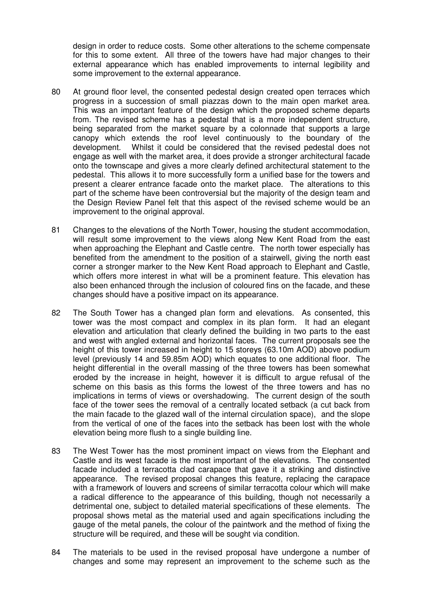design in order to reduce costs. Some other alterations to the scheme compensate for this to some extent. All three of the towers have had major changes to their external appearance which has enabled improvements to internal legibility and some improvement to the external appearance.

- 80 At ground floor level, the consented pedestal design created open terraces which progress in a succession of small piazzas down to the main open market area. This was an important feature of the design which the proposed scheme departs from. The revised scheme has a pedestal that is a more independent structure, being separated from the market square by a colonnade that supports a large canopy which extends the roof level continuously to the boundary of the development. Whilst it could be considered that the revised pedestal does not engage as well with the market area, it does provide a stronger architectural facade onto the townscape and gives a more clearly defined architectural statement to the pedestal. This allows it to more successfully form a unified base for the towers and present a clearer entrance facade onto the market place. The alterations to this part of the scheme have been controversial but the majority of the design team and the Design Review Panel felt that this aspect of the revised scheme would be an improvement to the original approval.
- 81 Changes to the elevations of the North Tower, housing the student accommodation, will result some improvement to the views along New Kent Road from the east when approaching the Elephant and Castle centre. The north tower especially has benefited from the amendment to the position of a stairwell, giving the north east corner a stronger marker to the New Kent Road approach to Elephant and Castle, which offers more interest in what will be a prominent feature. This elevation has also been enhanced through the inclusion of coloured fins on the facade, and these changes should have a positive impact on its appearance.
- 82 The South Tower has a changed plan form and elevations. As consented, this tower was the most compact and complex in its plan form. It had an elegant elevation and articulation that clearly defined the building in two parts to the east and west with angled external and horizontal faces. The current proposals see the height of this tower increased in height to 15 storeys (63.10m AOD) above podium level (previously 14 and 59.85m AOD) which equates to one additional floor. The height differential in the overall massing of the three towers has been somewhat eroded by the increase in height, however it is difficult to argue refusal of the scheme on this basis as this forms the lowest of the three towers and has no implications in terms of views or overshadowing. The current design of the south face of the tower sees the removal of a centrally located setback (a cut back from the main facade to the glazed wall of the internal circulation space), and the slope from the vertical of one of the faces into the setback has been lost with the whole elevation being more flush to a single building line.
- 83 The West Tower has the most prominent impact on views from the Elephant and Castle and its west facade is the most important of the elevations. The consented facade included a terracotta clad carapace that gave it a striking and distinctive appearance. The revised proposal changes this feature, replacing the carapace with a framework of louvers and screens of similar terracotta colour which will make a radical difference to the appearance of this building, though not necessarily a detrimental one, subject to detailed material specifications of these elements. The proposal shows metal as the material used and again specifications including the gauge of the metal panels, the colour of the paintwork and the method of fixing the structure will be required, and these will be sought via condition.
- 84 The materials to be used in the revised proposal have undergone a number of changes and some may represent an improvement to the scheme such as the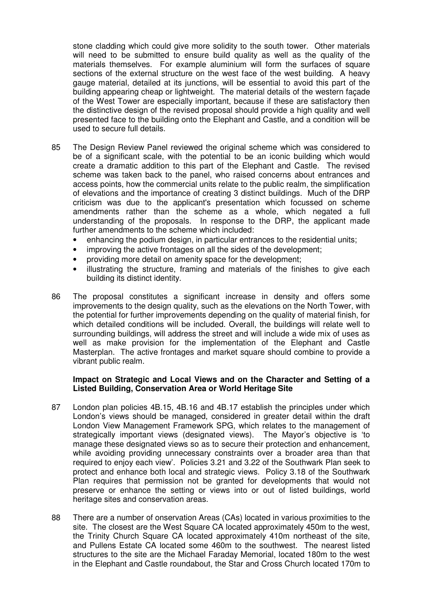stone cladding which could give more solidity to the south tower. Other materials will need to be submitted to ensure build quality as well as the quality of the materials themselves. For example aluminium will form the surfaces of square sections of the external structure on the west face of the west building. A heavy gauge material, detailed at its junctions, will be essential to avoid this part of the building appearing cheap or lightweight. The material details of the western façade of the West Tower are especially important, because if these are satisfactory then the distinctive design of the revised proposal should provide a high quality and well presented face to the building onto the Elephant and Castle, and a condition will be used to secure full details.

- 85 The Design Review Panel reviewed the original scheme which was considered to be of a significant scale, with the potential to be an iconic building which would create a dramatic addition to this part of the Elephant and Castle. The revised scheme was taken back to the panel, who raised concerns about entrances and access points, how the commercial units relate to the public realm, the simplification of elevations and the importance of creating 3 distinct buildings. Much of the DRP criticism was due to the applicant's presentation which focussed on scheme amendments rather than the scheme as a whole, which negated a full understanding of the proposals. In response to the DRP, the applicant made further amendments to the scheme which included:
	- enhancing the podium design, in particular entrances to the residential units;
	- improving the active frontages on all the sides of the development;
	- providing more detail on amenity space for the development;
	- illustrating the structure, framing and materials of the finishes to give each building its distinct identity.
- 86 The proposal constitutes a significant increase in density and offers some improvements to the design quality, such as the elevations on the North Tower, with the potential for further improvements depending on the quality of material finish, for which detailed conditions will be included. Overall, the buildings will relate well to surrounding buildings, will address the street and will include a wide mix of uses as well as make provision for the implementation of the Elephant and Castle Masterplan. The active frontages and market square should combine to provide a vibrant public realm.

#### **Impact on Strategic and Local Views and on the Character and Setting of a Listed Building, Conservation Area or World Heritage Site**

- 87 London plan policies 4B.15, 4B.16 and 4B.17 establish the principles under which London's views should be managed, considered in greater detail within the draft London View Management Framework SPG, which relates to the management of strategically important views (designated views). The Mayor's objective is 'to manage these designated views so as to secure their protection and enhancement, while avoiding providing unnecessary constraints over a broader area than that required to enjoy each view'. Policies 3.21 and 3.22 of the Southwark Plan seek to protect and enhance both local and strategic views. Policy 3.18 of the Southwark Plan requires that permission not be granted for developments that would not preserve or enhance the setting or views into or out of listed buildings, world heritage sites and conservation areas.
- 88 There are a number of onservation Areas (CAs) located in various proximities to the site. The closest are the West Square CA located approximately 450m to the west, the Trinity Church Square CA located approximately 410m northeast of the site, and Pullens Estate CA located some 460m to the southwest. The nearest listed structures to the site are the Michael Faraday Memorial, located 180m to the west in the Elephant and Castle roundabout, the Star and Cross Church located 170m to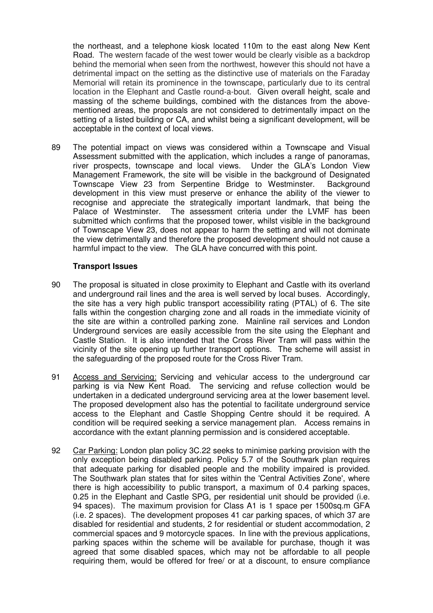the northeast, and a telephone kiosk located 110m to the east along New Kent Road. The western facade of the west tower would be clearly visible as a backdrop behind the memorial when seen from the northwest, however this should not have a detrimental impact on the setting as the distinctive use of materials on the Faraday Memorial will retain its prominence in the townscape, particularly due to its central location in the Elephant and Castle round-a-bout. Given overall height, scale and massing of the scheme buildings, combined with the distances from the abovementioned areas, the proposals are not considered to detrimentally impact on the setting of a listed building or CA, and whilst being a significant development, will be acceptable in the context of local views.

89 The potential impact on views was considered within a Townscape and Visual Assessment submitted with the application, which includes a range of panoramas, river prospects, townscape and local views. Under the GLA's London View Management Framework, the site will be visible in the background of Designated Townscape View 23 from Serpentine Bridge to Westminster. Background development in this view must preserve or enhance the ability of the viewer to recognise and appreciate the strategically important landmark, that being the Palace of Westminster. The assessment criteria under the LVMF has been submitted which confirms that the proposed tower, whilst visible in the background of Townscape View 23, does not appear to harm the setting and will not dominate the view detrimentally and therefore the proposed development should not cause a harmful impact to the view. The GLA have concurred with this point.

## **Transport Issues**

- 90 The proposal is situated in close proximity to Elephant and Castle with its overland and underground rail lines and the area is well served by local buses. Accordingly, the site has a very high public transport accessibility rating (PTAL) of 6. The site falls within the congestion charging zone and all roads in the immediate vicinity of the site are within a controlled parking zone. Mainline rail services and London Underground services are easily accessible from the site using the Elephant and Castle Station. It is also intended that the Cross River Tram will pass within the vicinity of the site opening up further transport options. The scheme will assist in the safeguarding of the proposed route for the Cross River Tram.
- 91 Access and Servicing: Servicing and vehicular access to the underground car parking is via New Kent Road. The servicing and refuse collection would be undertaken in a dedicated underground servicing area at the lower basement level. The proposed development also has the potential to facilitate underground service access to the Elephant and Castle Shopping Centre should it be required. A condition will be required seeking a service management plan. Access remains in accordance with the extant planning permission and is considered acceptable.
- 92 Car Parking: London plan policy 3C.22 seeks to minimise parking provision with the only exception being disabled parking. Policy 5.7 of the Southwark plan requires that adequate parking for disabled people and the mobility impaired is provided. The Southwark plan states that for sites within the 'Central Activities Zone', where there is high accessibility to public transport, a maximum of 0.4 parking spaces, 0.25 in the Elephant and Castle SPG, per residential unit should be provided (i.e. 94 spaces). The maximum provision for Class A1 is 1 space per 1500sq.m GFA (i.e. 2 spaces).The development proposes 41 car parking spaces, of which 37 are disabled for residential and students, 2 for residential or student accommodation, 2 commercial spaces and 9 motorcycle spaces. In line with the previous applications, parking spaces within the scheme will be available for purchase, though it was agreed that some disabled spaces, which may not be affordable to all people requiring them, would be offered for free/ or at a discount, to ensure compliance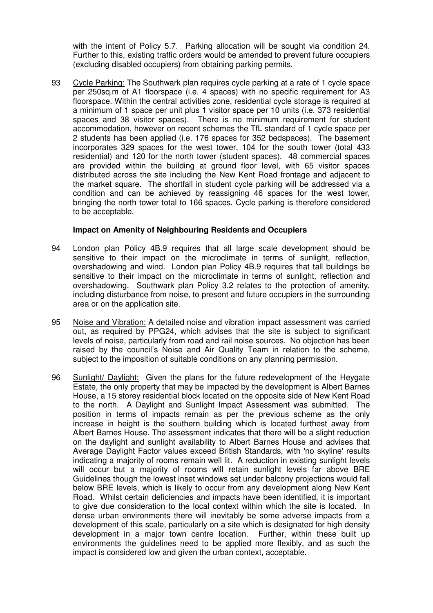with the intent of Policy 5.7. Parking allocation will be sought via condition 24. Further to this, existing traffic orders would be amended to prevent future occupiers (excluding disabled occupiers) from obtaining parking permits.

93 Cycle Parking: The Southwark plan requires cycle parking at a rate of 1 cycle space per 250sq.m of A1 floorspace (i.e. 4 spaces) with no specific requirement for A3 floorspace. Within the central activities zone, residential cycle storage is required at a minimum of 1 space per unit plus 1 visitor space per 10 units (i.e. 373 residential spaces and 38 visitor spaces). There is no minimum requirement for student accommodation, however on recent schemes the TfL standard of 1 cycle space per 2 students has been applied (i.e. 176 spaces for 352 bedspaces). The basement incorporates 329 spaces for the west tower, 104 for the south tower (total 433 residential) and 120 for the north tower (student spaces). 48 commercial spaces are provided within the building at ground floor level, with 65 visitor spaces distributed across the site including the New Kent Road frontage and adjacent to the market square. The shortfall in student cycle parking will be addressed via a condition and can be achieved by reassigning 46 spaces for the west tower, bringing the north tower total to 166 spaces. Cycle parking is therefore considered to be acceptable.

### **Impact on Amenity of Neighbouring Residents and Occupiers**

- 94 London plan Policy 4B.9 requires that all large scale development should be sensitive to their impact on the microclimate in terms of sunlight, reflection, overshadowing and wind. London plan Policy 4B.9 requires that tall buildings be sensitive to their impact on the microclimate in terms of sunlight, reflection and overshadowing. Southwark plan Policy 3.2 relates to the protection of amenity, including disturbance from noise, to present and future occupiers in the surrounding area or on the application site.
- 95 Noise and Vibration: A detailed noise and vibration impact assessment was carried out, as required by PPG24, which advises that the site is subject to significant levels of noise, particularly from road and rail noise sources. No objection has been raised by the council's Noise and Air Quality Team in relation to the scheme, subject to the imposition of suitable conditions on any planning permission.
- 96 Sunlight/ Daylight: Given the plans for the future redevelopment of the Heygate Estate, the only property that may be impacted by the development is Albert Barnes House, a 15 storey residential block located on the opposite side of New Kent Road to the north. A Daylight and Sunlight Impact Assessment was submitted. The position in terms of impacts remain as per the previous scheme as the only increase in height is the southern building which is located furthest away from Albert Barnes House. The assessment indicates that there will be a slight reduction on the daylight and sunlight availability to Albert Barnes House and advises that Average Daylight Factor values exceed British Standards, with 'no skyline' results indicating a majority of rooms remain well lit. A reduction in existing sunlight levels will occur but a majority of rooms will retain sunlight levels far above BRE Guidelines though the lowest inset windows set under balcony projections would fall below BRE levels, which is likely to occur from any development along New Kent Road. Whilst certain deficiencies and impacts have been identified, it is important to give due consideration to the local context within which the site is located. In dense urban environments there will inevitably be some adverse impacts from a development of this scale, particularly on a site which is designated for high density development in a major town centre location. Further, within these built up environments the guidelines need to be applied more flexibly, and as such the impact is considered low and given the urban context, acceptable.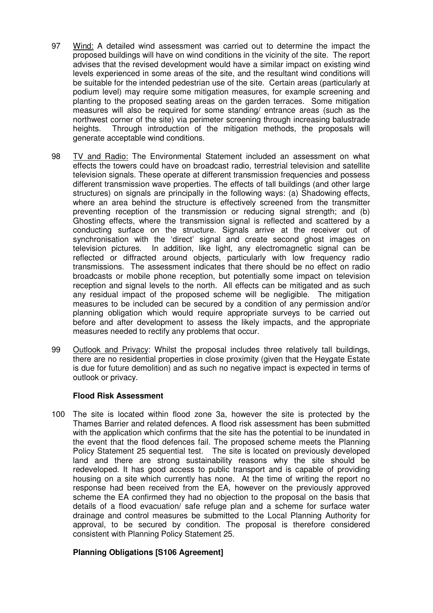- 97 Wind: A detailed wind assessment was carried out to determine the impact the proposed buildings will have on wind conditions in the vicinity of the site. The report advises that the revised development would have a similar impact on existing wind levels experienced in some areas of the site, and the resultant wind conditions will be suitable for the intended pedestrian use of the site. Certain areas (particularly at podium level) may require some mitigation measures, for example screening and planting to the proposed seating areas on the garden terraces. Some mitigation measures will also be required for some standing/ entrance areas (such as the northwest corner of the site) via perimeter screening through increasing balustrade heights. Through introduction of the mitigation methods, the proposals will generate acceptable wind conditions.
- 98 TV and Radio: The Environmental Statement included an assessment on what effects the towers could have on broadcast radio, terrestrial television and satellite television signals. These operate at different transmission frequencies and possess different transmission wave properties. The effects of tall buildings (and other large structures) on signals are principally in the following ways: (a) Shadowing effects, where an area behind the structure is effectively screened from the transmitter preventing reception of the transmission or reducing signal strength; and (b) Ghosting effects, where the transmission signal is reflected and scattered by a conducting surface on the structure. Signals arrive at the receiver out of synchronisation with the 'direct' signal and create second ghost images on television pictures.In addition, like light, any electromagnetic signal can be reflected or diffracted around objects, particularly with low frequency radio transmissions. The assessment indicates that there should be no effect on radio broadcasts or mobile phone reception, but potentially some impact on television reception and signal levels to the north. All effects can be mitigated and as such any residual impact of the proposed scheme will be negligible. The mitigation measures to be included can be secured by a condition of any permission and/or planning obligation which would require appropriate surveys to be carried out before and after development to assess the likely impacts, and the appropriate measures needed to rectify any problems that occur.
- 99 Outlook and Privacy: Whilst the proposal includes three relatively tall buildings, there are no residential properties in close proximity (given that the Heygate Estate is due for future demolition) and as such no negative impact is expected in terms of outlook or privacy.

### **Flood Risk Assessment**

100 The site is located within flood zone 3a, however the site is protected by the Thames Barrier and related defences. A flood risk assessment has been submitted with the application which confirms that the site has the potential to be inundated in the event that the flood defences fail. The proposed scheme meets the Planning Policy Statement 25 sequential test. The site is located on previously developed land and there are strong sustainability reasons why the site should be redeveloped. It has good access to public transport and is capable of providing housing on a site which currently has none. At the time of writing the report no response had been received from the EA, however on the previously approved scheme the EA confirmed they had no objection to the proposal on the basis that details of a flood evacuation/ safe refuge plan and a scheme for surface water drainage and control measures be submitted to the Local Planning Authority for approval, to be secured by condition. The proposal is therefore considered consistent with Planning Policy Statement 25.

### **Planning Obligations [S106 Agreement]**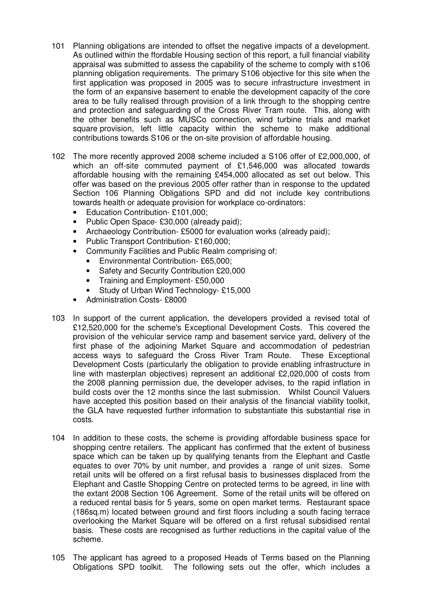- 101 Planning obligations are intended to offset the negative impacts of a development. As outlined within the ffordable Housing section of this report, a full financial viability appraisal was submitted to assess the capability of the scheme to comply with s106 planning obligation requirements. The primary S106 objective for this site when the first application was proposed in 2005 was to secure infrastructure investment in the form of an expansive basement to enable the development capacity of the core area to be fully realised through provision of a link through to the shopping centre and protection and safeguarding of the Cross River Tram route. This, along with the other benefits such as MUSCo connection, wind turbine trials and market square provision, left little capacity within the scheme to make additional contributions towards S106 or the on-site provision of affordable housing.
- 102 The more recently approved 2008 scheme included a S106 offer of £2,000,000, of which an off-site commuted payment of £1,546,000 was allocated towards affordable housing with the remaining £454,000 allocated as set out below. This offer was based on the previous 2005 offer rather than in response to the updated Section 106 Planning Obligations SPD and did not include key contributions towards health or adequate provision for workplace co-ordinators:
	- Education Contribution- £101,000;
	- Public Open Space- £30,000 (already paid);
	- Archaeology Contribution- £5000 for evaluation works (already paid);
	- Public Transport Contribution- £160,000;
	- Community Facilities and Public Realm comprising of:
		- Environmental Contribution- £65,000;
		- Safety and Security Contribution £20,000
		- Training and Employment- £50,000
		- Study of Urban Wind Technology- £15,000
	- Administration Costs- £8000
- 103 In support of the current application, the developers provided a revised total of £12,520,000 for the scheme's Exceptional Development Costs. This covered the provision of the vehicular service ramp and basement service yard, delivery of the first phase of the adjoining Market Square and accommodation of pedestrian access ways to safeguard the Cross River Tram Route. These Exceptional Development Costs (particularly the obligation to provide enabling infrastructure in line with masterplan objectives) represent an additional £2,020,000 of costs from the 2008 planning permission due, the developer advises, to the rapid inflation in build costs over the 12 months since the last submission. Whilst Council Valuers have accepted this position based on their analysis of the financial viability toolkit, the GLA have requested further information to substantiate this substantial rise in costs.
- 104 In addition to these costs, the scheme is providing affordable business space for shopping centre retailers. The applicant has confirmed that the extent of business space which can be taken up by qualifying tenants from the Elephant and Castle equates to over 70% by unit number, and provides a range of unit sizes. Some retail units will be offered on a first refusal basis to businesses displaced from the Elephant and Castle Shopping Centre on protected terms to be agreed, in line with the extant 2008 Section 106 Agreement. Some of the retail units will be offered on a reduced rental basis for 5 years, some on open market terms. Restaurant space (186sq.m) located between ground and first floors including a south facing terrace overlooking the Market Square will be offered on a first refusal subsidised rental basis. These costs are recognised as further reductions in the capital value of the scheme.
- 105 The applicant has agreed to a proposed Heads of Terms based on the Planning Obligations SPD toolkit. The following sets out the offer, which includes a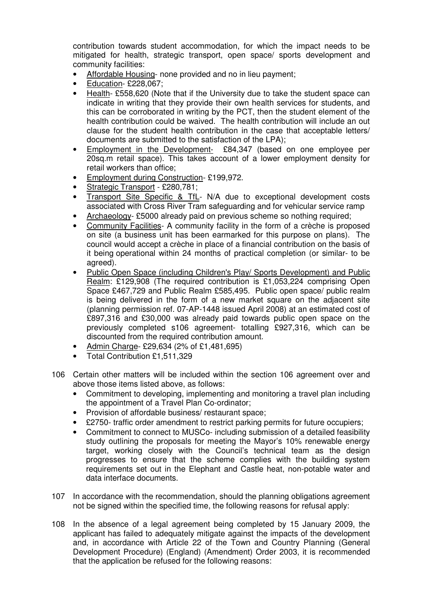contribution towards student accommodation, for which the impact needs to be mitigated for health, strategic transport, open space/ sports development and community facilities:

- Affordable Housing- none provided and no in lieu payment;
- Education- £228,067;
- Health- £558,620 (Note that if the University due to take the student space can indicate in writing that they provide their own health services for students, and this can be corroborated in writing by the PCT, then the student element of the health contribution could be waived. The health contribution will include an out clause for the student health contribution in the case that acceptable letters/ documents are submitted to the satisfaction of the LPA);
- Employment in the Development- £84,347 (based on one employee per 20sq.m retail space). This takes account of a lower employment density for retail workers than office;
- Employment during Construction- £199,972.
- Strategic Transport £280,781;
- Transport Site Specific & TfL- N/A due to exceptional development costs associated with Cross River Tram safeguarding and for vehicular service ramp
- Archaeology- £5000 already paid on previous scheme so nothing required;
- Community Facilities- A community facility in the form of a crèche is proposed on site (a business unit has been earmarked for this purpose on plans). The council would accept a crèche in place of a financial contribution on the basis of it being operational within 24 months of practical completion (or similar- to be agreed).
- Public Open Space (including Children's Play/ Sports Development) and Public Realm: £129,908 (The required contribution is £1,053,224 comprising Open Space £467,729 and Public Realm £585,495. Public open space/ public realm is being delivered in the form of a new market square on the adjacent site (planning permission ref. 07-AP-1448 issued April 2008) at an estimated cost of £897,316 and £30,000 was already paid towards public open space on the previously completed s106 agreement- totalling £927,316, which can be discounted from the required contribution amount.
- Admin Charge- £29,634 (2% of £1,481,695)
- Total Contribution £1,511,329
- 106 Certain other matters will be included within the section 106 agreement over and above those items listed above, as follows:
	- Commitment to developing, implementing and monitoring a travel plan including the appointment of a Travel Plan Co-ordinator;
	- Provision of affordable business/ restaurant space;
	- £2750- traffic order amendment to restrict parking permits for future occupiers;
	- Commitment to connect to MUSCo- including submission of a detailed feasibility study outlining the proposals for meeting the Mayor's 10% renewable energy target, working closely with the Council's technical team as the design progresses to ensure that the scheme complies with the building system requirements set out in the Elephant and Castle heat, non-potable water and data interface documents.
- 107 In accordance with the recommendation, should the planning obligations agreement not be signed within the specified time, the following reasons for refusal apply:
- 108 In the absence of a legal agreement being completed by 15 January 2009, the applicant has failed to adequately mitigate against the impacts of the development and, in accordance with Article 22 of the Town and Country Planning (General Development Procedure) (England) (Amendment) Order 2003, it is recommended that the application be refused for the following reasons: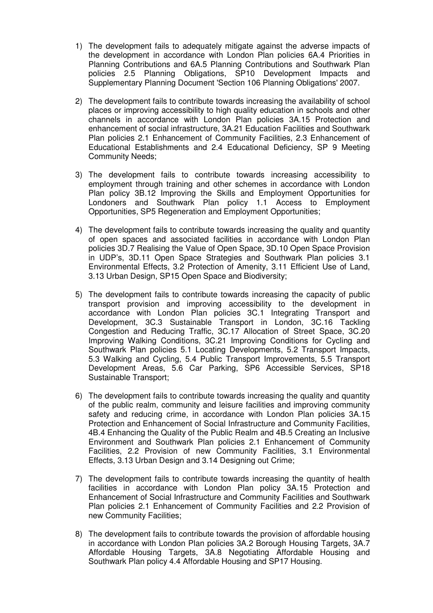- 1) The development fails to adequately mitigate against the adverse impacts of the development in accordance with London Plan policies 6A.4 Priorities in Planning Contributions and 6A.5 Planning Contributions and Southwark Plan policies 2.5 Planning Obligations, SP10 Development Impacts and Supplementary Planning Document 'Section 106 Planning Obligations' 2007.
- 2) The development fails to contribute towards increasing the availability of school places or improving accessibility to high quality education in schools and other channels in accordance with London Plan policies 3A.15 Protection and enhancement of social infrastructure, 3A.21 Education Facilities and Southwark Plan policies 2.1 Enhancement of Community Facilities, 2.3 Enhancement of Educational Establishments and 2.4 Educational Deficiency, SP 9 Meeting Community Needs;
- 3) The development fails to contribute towards increasing accessibility to employment through training and other schemes in accordance with London Plan policy 3B.12 Improving the Skills and Employment Opportunities for Londoners and Southwark Plan policy 1.1 Access to Employment Opportunities, SP5 Regeneration and Employment Opportunities;
- 4) The development fails to contribute towards increasing the quality and quantity of open spaces and associated facilities in accordance with London Plan policies 3D.7 Realising the Value of Open Space, 3D.10 Open Space Provision in UDP's, 3D.11 Open Space Strategies and Southwark Plan policies 3.1 Environmental Effects, 3.2 Protection of Amenity, 3.11 Efficient Use of Land, 3.13 Urban Design, SP15 Open Space and Biodiversity;
- 5) The development fails to contribute towards increasing the capacity of public transport provision and improving accessibility to the development in accordance with London Plan policies 3C.1 Integrating Transport and Development, 3C.3 Sustainable Transport in London, 3C.16 Tackling Congestion and Reducing Traffic, 3C.17 Allocation of Street Space, 3C.20 Improving Walking Conditions, 3C.21 Improving Conditions for Cycling and Southwark Plan policies 5.1 Locating Developments, 5.2 Transport Impacts, 5.3 Walking and Cycling, 5.4 Public Transport Improvements, 5.5 Transport Development Areas, 5.6 Car Parking, SP6 Accessible Services, SP18 Sustainable Transport;
- 6) The development fails to contribute towards increasing the quality and quantity of the public realm, community and leisure facilities and improving community safety and reducing crime, in accordance with London Plan policies 3A.15 Protection and Enhancement of Social Infrastructure and Community Facilities, 4B.4 Enhancing the Quality of the Public Realm and 4B.5 Creating an Inclusive Environment and Southwark Plan policies 2.1 Enhancement of Community Facilities, 2.2 Provision of new Community Facilities, 3.1 Environmental Effects, 3.13 Urban Design and 3.14 Designing out Crime;
- 7) The development fails to contribute towards increasing the quantity of health facilities in accordance with London Plan policy 3A.15 Protection and Enhancement of Social Infrastructure and Community Facilities and Southwark Plan policies 2.1 Enhancement of Community Facilities and 2.2 Provision of new Community Facilities;
- 8) The development fails to contribute towards the provision of affordable housing in accordance with London Plan policies 3A.2 Borough Housing Targets, 3A.7 Affordable Housing Targets, 3A.8 Negotiating Affordable Housing and Southwark Plan policy 4.4 Affordable Housing and SP17 Housing.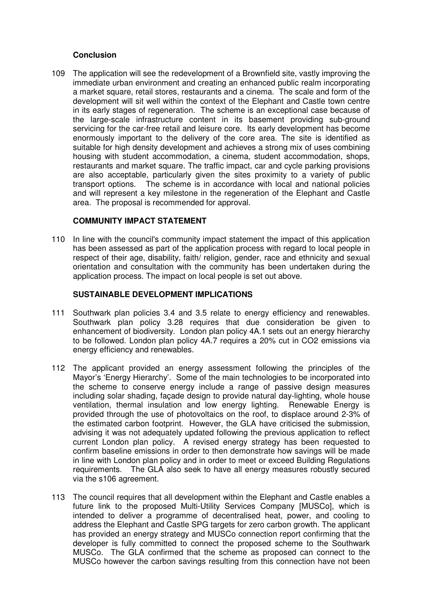#### **Conclusion**

109 The application will see the redevelopment of a Brownfield site, vastly improving the immediate urban environment and creating an enhanced public realm incorporating a market square, retail stores, restaurants and a cinema. The scale and form of the development will sit well within the context of the Elephant and Castle town centre in its early stages of regeneration. The scheme is an exceptional case because of the large-scale infrastructure content in its basement providing sub-ground servicing for the car-free retail and leisure core. Its early development has become enormously important to the delivery of the core area. The site is identified as suitable for high density development and achieves a strong mix of uses combining housing with student accommodation, a cinema, student accommodation, shops, restaurants and market square. The traffic impact, car and cycle parking provisions are also acceptable, particularly given the sites proximity to a variety of public transport options. The scheme is in accordance with local and national policies and will represent a key milestone in the regeneration of the Elephant and Castle area. The proposal is recommended for approval.

#### **COMMUNITY IMPACT STATEMENT**

110 In line with the council's community impact statement the impact of this application has been assessed as part of the application process with regard to local people in respect of their age, disability, faith/ religion, gender, race and ethnicity and sexual orientation and consultation with the community has been undertaken during the application process. The impact on local people is set out above.

#### **SUSTAINABLE DEVELOPMENT IMPLICATIONS**

- 111 Southwark plan policies 3.4 and 3.5 relate to energy efficiency and renewables. Southwark plan policy 3.28 requires that due consideration be given to enhancement of biodiversity. London plan policy 4A.1 sets out an energy hierarchy to be followed. London plan policy 4A.7 requires a 20% cut in CO2 emissions via energy efficiency and renewables.
- 112 The applicant provided an energy assessment following the principles of the Mayor's 'Energy Hierarchy'. Some of the main technologies to be incorporated into the scheme to conserve energy include a range of passive design measures including solar shading, façade design to provide natural day-lighting, whole house ventilation, thermal insulation and low energy lighting. Renewable Energy is provided through the use of photovoltaics on the roof, to displace around 2-3% of the estimated carbon footprint. However, the GLA have criticised the submission, advising it was not adequately updated following the previous application to reflect current London plan policy. A revised energy strategy has been requested to confirm baseline emissions in order to then demonstrate how savings will be made in line with London plan policy and in order to meet or exceed Building Regulations requirements. The GLA also seek to have all energy measures robustly secured via the s106 agreement.
- 113 The council requires that all development within the Elephant and Castle enables a future link to the proposed Multi-Utility Services Company [MUSCo], which is intended to deliver a programme of decentralised heat, power, and cooling to address the Elephant and Castle SPG targets for zero carbon growth. The applicant has provided an energy strategy and MUSCo connection report confirming that the developer is fully committed to connect the proposed scheme to the Southwark MUSCo. The GLA confirmed that the scheme as proposed can connect to the MUSCo however the carbon savings resulting from this connection have not been